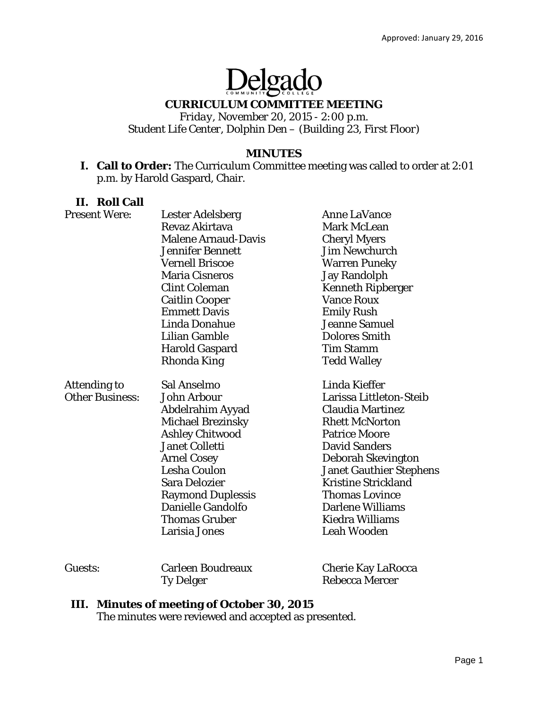# Delgado

## **CURRICULUM COMMITTEE MEETING**

*Friday, November 20, 2015 - 2:00 p.m. Student Life Center, Dolphin Den – (Building 23, First Floor)* 

#### **MINUTES**

**I. Call to Order:** The Curriculum Committee meeting was called to order at 2:01 p.m. by Harold Gaspard, Chair.

## **II. Roll Call**

| <b>Present Were:</b>   | <b>Lester Adelsberg</b>    | <b>Anne LaVance</b>            |
|------------------------|----------------------------|--------------------------------|
|                        | Revaz Akirtava             | <b>Mark McLean</b>             |
|                        | <b>Malene Arnaud-Davis</b> | <b>Cheryl Myers</b>            |
|                        | <b>Jennifer Bennett</b>    | <b>Jim Newchurch</b>           |
|                        | <b>Vernell Briscoe</b>     | <b>Warren Puneky</b>           |
|                        | <b>Maria Cisneros</b>      | <b>Jay Randolph</b>            |
|                        | <b>Clint Coleman</b>       | <b>Kenneth Ripberger</b>       |
|                        | <b>Caitlin Cooper</b>      | <b>Vance Roux</b>              |
|                        | <b>Emmett Davis</b>        | <b>Emily Rush</b>              |
|                        | <b>Linda Donahue</b>       | <b>Jeanne Samuel</b>           |
|                        | <b>Lilian Gamble</b>       | <b>Dolores Smith</b>           |
|                        | <b>Harold Gaspard</b>      | <b>Tim Stamm</b>               |
|                        | <b>Rhonda King</b>         | <b>Tedd Walley</b>             |
| <b>Attending to</b>    | Sal Anselmo                | Linda Kieffer                  |
| <b>Other Business:</b> | <b>John Arbour</b>         | Larissa Littleton-Steib        |
|                        | Abdelrahim Ayyad           | <b>Claudia Martinez</b>        |
|                        | <b>Michael Brezinsky</b>   | <b>Rhett McNorton</b>          |
|                        | <b>Ashley Chitwood</b>     | <b>Patrice Moore</b>           |
|                        | <b>Janet Colletti</b>      | <b>David Sanders</b>           |
|                        | <b>Arnel Cosey</b>         | <b>Deborah Skevington</b>      |
|                        | <b>Lesha Coulon</b>        | <b>Janet Gauthier Stephens</b> |
|                        | <b>Sara Delozier</b>       | <b>Kristine Strickland</b>     |
|                        | <b>Raymond Duplessis</b>   | <b>Thomas Lovince</b>          |
|                        | <b>Danielle Gandolfo</b>   | <b>Darlene Williams</b>        |
|                        | <b>Thomas Gruber</b>       | Kiedra Williams                |
|                        | Larisia Jones              | <b>Leah Wooden</b>             |
| Guests:                | <b>Carleen Boudreaux</b>   | <b>Cherie Kay LaRocca</b>      |

#### **III. Minutes of meeting of October 30, 2015**

The minutes were reviewed and accepted as presented.

Ty Delger Rebecca Mercer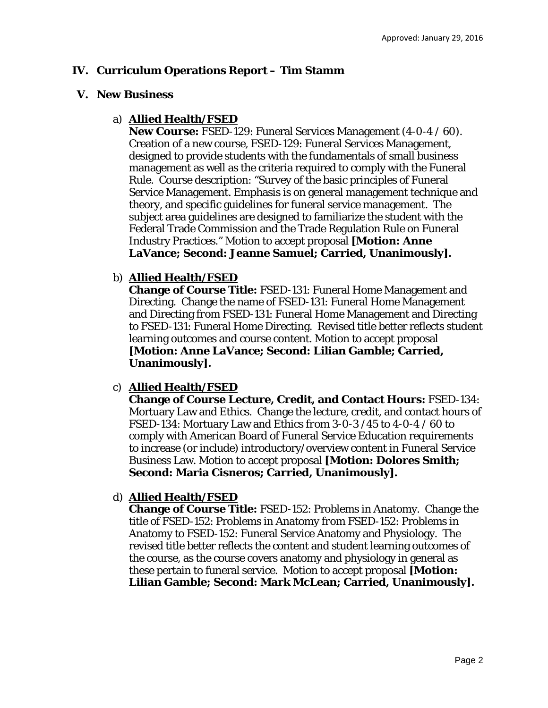## **IV. Curriculum Operations Report – Tim Stamm**

#### **V. New Business**

## a) **Allied Health/FSED**

**New Course:** FSED-129: Funeral Services Management (4-0-4 / 60). Creation of a new course, FSED-129: Funeral Services Management, designed to provide students with the fundamentals of small business management as well as the criteria required to comply with the Funeral Rule. Course description: "Survey of the basic principles of Funeral Service Management. Emphasis is on general management technique and theory, and specific guidelines for funeral service management. The subject area guidelines are designed to familiarize the student with the Federal Trade Commission and the Trade Regulation Rule on Funeral Industry Practices." Motion to accept proposal **[Motion: Anne LaVance; Second: Jeanne Samuel; Carried, Unanimously].** 

## b) **Allied Health/FSED**

**Change of Course Title:** FSED-131: Funeral Home Management and Directing. Change the name of FSED-131: Funeral Home Management and Directing *from* FSED-131: Funeral Home Management and Directing *to* FSED-131: Funeral Home Directing. Revised title better reflects student learning outcomes and course content. Motion to accept proposal **[Motion: Anne LaVance; Second: Lilian Gamble; Carried, Unanimously].** 

## c) **Allied Health/FSED**

**Change of Course Lecture, Credit, and Contact Hours:** FSED-134: Mortuary Law and Ethics. Change the lecture, credit, and contact hours of FSED-134: Mortuary Law and Ethics *from* 3-0-3 /45 *to* 4-0-4 / 60 to comply with American Board of Funeral Service Education requirements to increase (or include) introductory/overview content in Funeral Service Business Law. Motion to accept proposal **[Motion: Dolores Smith; Second: Maria Cisneros; Carried, Unanimously].** 

#### d) **Allied Health/FSED**

**Change of Course Title:** FSED-152: Problems in Anatomy. Change the title of FSED-152: Problems in Anatomy *from* FSED-152: Problems in Anatomy *to* FSED-152: Funeral Service Anatomy and Physiology. The revised title better reflects the content and student learning outcomes of the course, as the course covers anatomy and physiology in general as these pertain to funeral service. Motion to accept proposal **[Motion: Lilian Gamble; Second: Mark McLean; Carried, Unanimously].**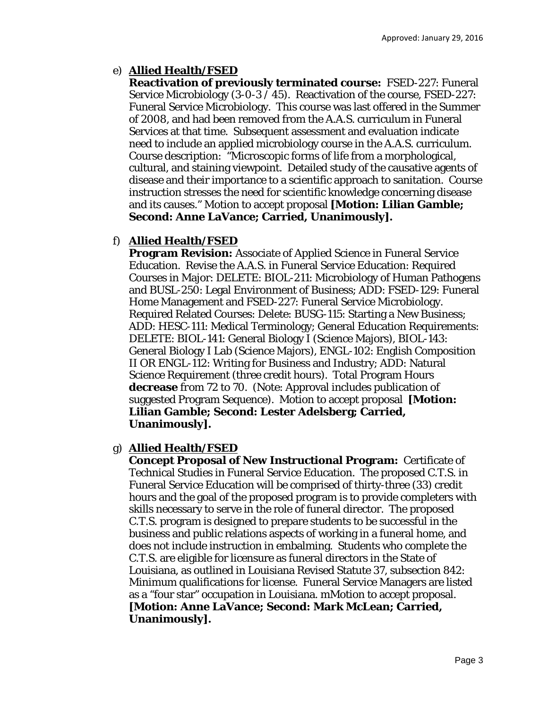# e) **Allied Health/FSED**

**Reactivation of previously terminated course:** FSED-227: Funeral Service Microbiology (3-0-3 / 45). Reactivation of the course, FSED-227: Funeral Service Microbiology. This course was last offered in the Summer of 2008, and had been removed from the A.A.S. curriculum in Funeral Services at that time. Subsequent assessment and evaluation indicate need to include an applied microbiology course in the A.A.S. curriculum. Course description: "Microscopic forms of life from a morphological, cultural, and staining viewpoint. Detailed study of the causative agents of disease and their importance to a scientific approach to sanitation. Course instruction stresses the need for scientific knowledge concerning disease and its causes." Motion to accept proposal **[Motion: Lilian Gamble; Second: Anne LaVance; Carried, Unanimously].** 

# f) **Allied Health/FSED**

**Program Revision:** Associate of Applied Science in Funeral Service Education. Revise the A.A.S. in Funeral Service Education: Required Courses in Major: DELETE: BIOL-211: Microbiology of Human Pathogens and BUSL-250: Legal Environment of Business; ADD: FSED-129: Funeral Home Management and FSED-227: Funeral Service Microbiology. Required Related Courses: Delete: BUSG-115: Starting a New Business; ADD: HESC-111: Medical Terminology; General Education Requirements: DELETE: BIOL-141: General Biology I (Science Majors), BIOL-143: General Biology I Lab (Science Majors), ENGL-102: English Composition II OR ENGL-112: Writing for Business and Industry; ADD: Natural Science Requirement (three credit hours). Total Program Hours **decrease** *from* 72 to 70. (Note: Approval includes publication of suggested Program Sequence). Motion to accept proposal **[Motion: Lilian Gamble; Second: Lester Adelsberg; Carried, Unanimously].** 

## g) **Allied Health/FSED**

**Concept Proposal of New Instructional Program:** Certificate of Technical Studies in Funeral Service Education. The proposed C.T.S. in Funeral Service Education will be comprised of thirty-three (33) credit hours and the goal of the proposed program is to provide completers with skills necessary to serve in the role of funeral director. The proposed C.T.S. program is designed to prepare students to be successful in the business and public relations aspects of working in a funeral home, and does not include instruction in embalming. Students who complete the C.T.S. are eligible for licensure as funeral directors in the State of Louisiana, as outlined in Louisiana Revised Statute 37, subsection 842: Minimum qualifications for license. Funeral Service Managers are listed as a "four star" occupation in Louisiana. mMotion to accept proposal. **[Motion: Anne LaVance; Second: Mark McLean; Carried, Unanimously].**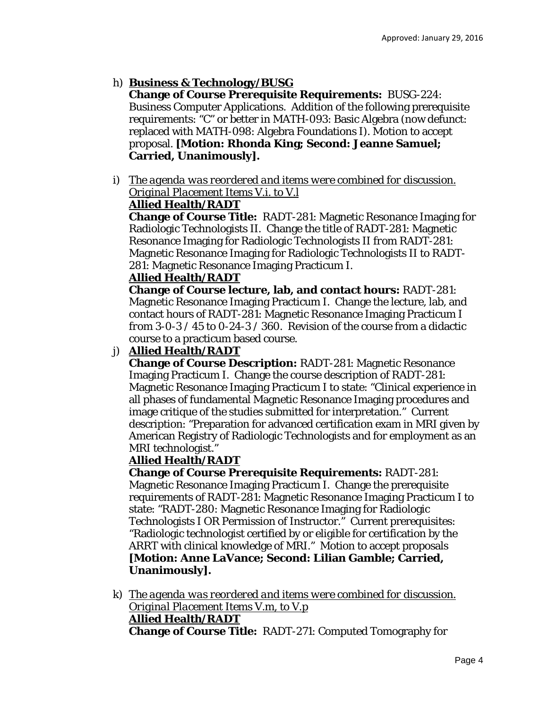# h) **Business & Technology/BUSG**

**Change of Course Prerequisite Requirements:** BUSG-224: Business Computer Applications. Addition of the following prerequisite requirements: "C" or better in MATH-093: Basic Algebra (now defunct: replaced with MATH-098: Algebra Foundations I). Motion to accept proposal. **[Motion: Rhonda King; Second: Jeanne Samuel; Carried, Unanimously].** 

i) *The agenda was reordered and items were combined for discussion. Original Placement Items V.i. to V.l*

# **Allied Health/RADT**

**Change of Course Title:** RADT-281: Magnetic Resonance Imaging for Radiologic Technologists II. Change the title of RADT-281: Magnetic Resonance Imaging for Radiologic Technologists II *from* RADT-281: Magnetic Resonance Imaging for Radiologic Technologists II *to* RADT-281: Magnetic Resonance Imaging Practicum I.

# **Allied Health/RADT**

**Change of Course lecture, lab, and contact hours:** RADT-281: Magnetic Resonance Imaging Practicum I. Change the lecture, lab, and contact hours of RADT-281: Magnetic Resonance Imaging Practicum I *from* 3-0-3 / 45 *to* 0-24-3 / 360. Revision of the course from a didactic course to a practicum based course.

# j) **Allied Health/RADT**

**Change of Course Description:** RADT-281: Magnetic Resonance Imaging Practicum I. Change the course description of RADT-281: Magnetic Resonance Imaging Practicum I to state: "Clinical experience in all phases of fundamental Magnetic Resonance Imaging procedures and image critique of the studies submitted for interpretation." Current description: "Preparation for advanced certification exam in MRI given by American Registry of Radiologic Technologists and for employment as an MRI technologist."

# **Allied Health/RADT**

**Change of Course Prerequisite Requirements:** RADT-281: Magnetic Resonance Imaging Practicum I. Change the prerequisite requirements of RADT-281: Magnetic Resonance Imaging Practicum I to state: "RADT-280: Magnetic Resonance Imaging for Radiologic Technologists I OR Permission of Instructor." Current prerequisites: "Radiologic technologist certified by or eligible for certification by the ARRT with clinical knowledge of MRI." Motion to accept proposals **[Motion: Anne LaVance; Second: Lilian Gamble; Carried, Unanimously].** 

k) *The agenda was reordered and items were combined for discussion. Original Placement Items V.m, to V.p* **Allied Health/RADT Change of Course Title:** RADT-271: Computed Tomography for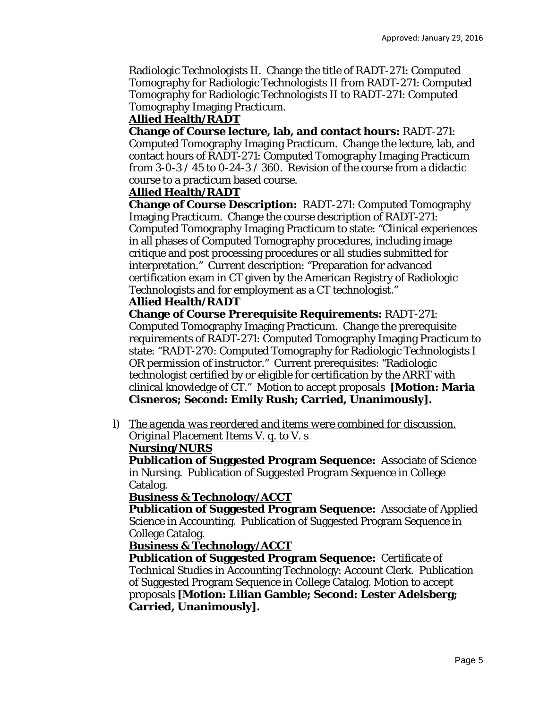Radiologic Technologists II. Change the title of RADT-271: Computed Tomography for Radiologic Technologists II *from* RADT-271: Computed Tomography for Radiologic Technologists II *to* RADT-271: Computed Tomography Imaging Practicum.

# **Allied Health/RADT**

**Change of Course lecture, lab, and contact hours:** RADT-271: Computed Tomography Imaging Practicum. Change the lecture, lab, and contact hours of RADT-271: Computed Tomography Imaging Practicum *from* 3-0-3 / 45 *to* 0-24-3 / 360. Revision of the course from a didactic course to a practicum based course.

# **Allied Health/RADT**

**Change of Course Description:** RADT-271: Computed Tomography Imaging Practicum. Change the course description of RADT-271: Computed Tomography Imaging Practicum to state: "Clinical experiences in all phases of Computed Tomography procedures, including image critique and post processing procedures or all studies submitted for interpretation." Current description: "Preparation for advanced certification exam in CT given by the American Registry of Radiologic Technologists and for employment as a CT technologist."

# **Allied Health/RADT**

**Change of Course Prerequisite Requirements:** RADT-271: Computed Tomography Imaging Practicum. Change the prerequisite requirements of RADT-271: Computed Tomography Imaging Practicum to state: "RADT-270: Computed Tomography for Radiologic Technologists I OR permission of instructor." Current prerequisites: "Radiologic technologist certified by or eligible for certification by the ARRT with clinical knowledge of CT." Motion to accept proposals **[Motion: Maria Cisneros; Second: Emily Rush; Carried, Unanimously].** 

l) *The agenda was reordered and items were combined for discussion. Original Placement Items V. q. to V. s* 

# **Nursing/NURS**

**Publication of Suggested Program Sequence:** Associate of Science in Nursing. Publication of Suggested Program Sequence in College Catalog.

# **Business & Technology/ACCT**

**Publication of Suggested Program Sequence:** Associate of Applied Science in Accounting. Publication of Suggested Program Sequence in College Catalog.

**Business & Technology/ACCT** 

**Publication of Suggested Program Sequence:** Certificate of Technical Studies in Accounting Technology: Account Clerk. Publication of Suggested Program Sequence in College Catalog. Motion to accept proposals **[Motion: Lilian Gamble; Second: Lester Adelsberg; Carried, Unanimously].**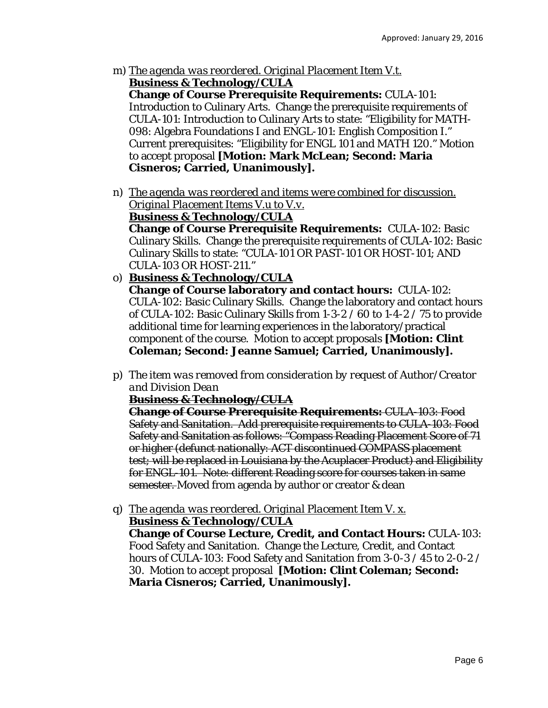m) *The agenda was reordered. Original Placement Item V.t.*  **Business & Technology/CULA** 

**Change of Course Prerequisite Requirements:** CULA-101: Introduction to Culinary Arts. Change the prerequisite requirements of CULA-101: Introduction to Culinary Arts to state: "Eligibility for MATH-098: Algebra Foundations I and ENGL-101: English Composition I." Current prerequisites: "Eligibility for ENGL 101 and MATH 120." Motion to accept proposal **[Motion: Mark McLean; Second: Maria Cisneros; Carried, Unanimously].** 

n) *The agenda was reordered and items were combined for discussion. Original Placement Items V.u to V.v.*  **Business & Technology/CULA** 

**Change of Course Prerequisite Requirements:** CULA-102: Basic Culinary Skills. Change the prerequisite requirements of CULA-102: Basic Culinary Skills to state: "CULA-101 OR PAST-101 OR HOST-101; AND CULA-103 OR HOST-211."

- o) **Business & Technology/CULA Change of Course laboratory and contact hours:** CULA-102: CULA-102: Basic Culinary Skills. Change the laboratory and contact hours of CULA-102: Basic Culinary Skills *from* 1-3-2 / 60 *to* 1-4-2 / 75 to provide additional time for learning experiences in the laboratory/practical component of the course. Motion to accept proposals **[Motion: Clint Coleman; Second: Jeanne Samuel; Carried, Unanimously].**
- p) *The item was removed from consideration by request of Author/Creator and Division Dean*

**Business & Technology/CULA** 

**Change of Course Prerequisite Requirements:** CULA-103: Food Safety and Sanitation. Add prerequisite requirements to CULA-103: Food Safety and Sanitation as follows: "Compass Reading Placement Score of 71 or higher (defunct nationally: ACT discontinued COMPASS placement test; will be replaced in Louisiana by the Acuplacer Product) and Eligibility for ENGL-101. Note: different Reading score for courses taken in same semester. Moved from agenda by author or creator & dean

q) *The agenda was reordered. Original Placement Item V. x.*  **Business & Technology/CULA** 

**Change of Course Lecture, Credit, and Contact Hours:** CULA-103: Food Safety and Sanitation. Change the Lecture, Credit, and Contact hours of CULA-103: Food Safety and Sanitation *from* 3-0-3 / 45 *to* 2-0-2 / 30. Motion to accept proposal **[Motion: Clint Coleman; Second: Maria Cisneros; Carried, Unanimously].**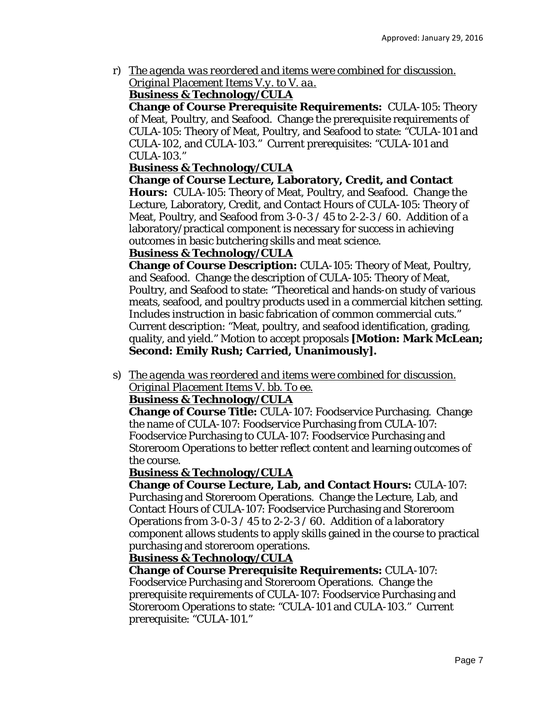r) *The agenda was reordered and items were combined for discussion. Original Placement Items V.y. to V. aa.* 

# **Business & Technology/CULA**

**Change of Course Prerequisite Requirements:** CULA-105: Theory of Meat, Poultry, and Seafood. Change the prerequisite requirements of CULA-105: Theory of Meat, Poultry, and Seafood to state: "CULA-101 and CULA-102, and CULA-103." Current prerequisites: "CULA-101 and CULA-103."

# **Business & Technology/CULA**

**Change of Course Lecture, Laboratory, Credit, and Contact Hours:** CULA-105: Theory of Meat, Poultry, and Seafood. Change the Lecture, Laboratory, Credit, and Contact Hours of CULA-105: Theory of Meat, Poultry, and Seafood *from* 3-0-3 / 45 *to* 2-2-3 / 60. Addition of a laboratory/practical component is necessary for success in achieving outcomes in basic butchering skills and meat science.

# **Business & Technology/CULA**

**Change of Course Description:** CULA-105: Theory of Meat, Poultry, and Seafood. Change the description of CULA-105: Theory of Meat, Poultry, and Seafood to state: "Theoretical and hands-on study of various meats, seafood, and poultry products used in a commercial kitchen setting. Includes instruction in basic fabrication of common commercial cuts." Current description: "Meat, poultry, and seafood identification, grading, quality, and yield." Motion to accept proposals **[Motion: Mark McLean; Second: Emily Rush; Carried, Unanimously].** 

s) *The agenda was reordered and items were combined for discussion. Original Placement Items V. bb. To ee.* 

## **Business & Technology/CULA**

**Change of Course Title:** CULA-107: Foodservice Purchasing. Change the name of CULA-107: Foodservice Purchasing *from* CULA-107: Foodservice Purchasing *to* CULA-107: Foodservice Purchasing and Storeroom Operations to better reflect content and learning outcomes of the course.

## **Business & Technology/CULA**

**Change of Course Lecture, Lab, and Contact Hours:** CULA-107: Purchasing and Storeroom Operations. Change the Lecture, Lab, and Contact Hours of CULA-107: Foodservice Purchasing and Storeroom Operations *from* 3-0-3 / 45 *to* 2-2-3 / 60. Addition of a laboratory component allows students to apply skills gained in the course to practical purchasing and storeroom operations.

# **Business & Technology/CULA**

**Change of Course Prerequisite Requirements:** CULA-107: Foodservice Purchasing and Storeroom Operations. Change the prerequisite requirements of CULA-107: Foodservice Purchasing and Storeroom Operations to state: "CULA-101 and CULA-103." Current prerequisite: "CULA-101."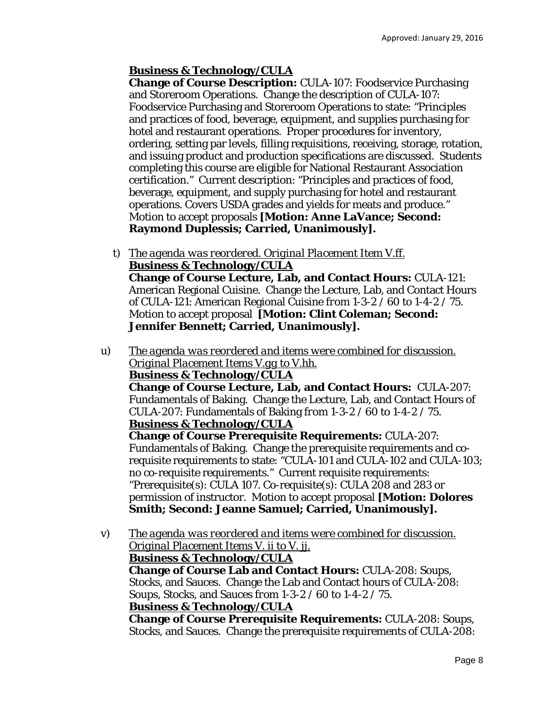# **Business & Technology/CULA**

**Change of Course Description:** CULA-107: Foodservice Purchasing and Storeroom Operations. Change the description of CULA-107: Foodservice Purchasing and Storeroom Operations to state: "Principles and practices of food, beverage, equipment, and supplies purchasing for hotel and restaurant operations. Proper procedures for inventory, ordering, setting par levels, filling requisitions, receiving, storage, rotation, and issuing product and production specifications are discussed. Students completing this course are eligible for National Restaurant Association certification." Current description: "Principles and practices of food, beverage, equipment, and supply purchasing for hotel and restaurant operations. Covers USDA grades and yields for meats and produce." Motion to accept proposals **[Motion: Anne LaVance; Second: Raymond Duplessis; Carried, Unanimously].** 

- t) *The agenda was reordered. Original Placement Item V.ff.*  **Business & Technology/CULA Change of Course Lecture, Lab, and Contact Hours:** CULA-121: American Regional Cuisine. Change the Lecture, Lab, and Contact Hours of CULA-121: American Regional Cuisine *from* 1-3-2 / 60 *to* 1-4-2 / 75. Motion to accept proposal **[Motion: Clint Coleman; Second: Jennifer Bennett; Carried, Unanimously].**
- u) *The agenda was reordered and items were combined for discussion. Original Placement Items V.gg to V.hh.*  **Business & Technology/CULA Change of Course Lecture, Lab, and Contact Hours:** CULA-207: Fundamentals of Baking. Change the Lecture, Lab, and Contact Hours of CULA-207: Fundamentals of Baking *from* 1-3-2 / 60 *to* 1-4-2 / 75. **Business & Technology/CULA Change of Course Prerequisite Requirements:** CULA-207: Fundamentals of Baking. Change the prerequisite requirements and corequisite requirements to state: "CULA-101 and CULA-102 and CULA-103; no co-requisite requirements." Current requisite requirements: "Prerequisite(s): CULA 107. Co-requisite(s): CULA 208 and 283 or permission of instructor. Motion to accept proposal **[Motion: Dolores Smith; Second: Jeanne Samuel; Carried, Unanimously].**
- v) *The agenda was reordered and items were combined for discussion. Original Placement Items V. ii to V. jj.*  **Business & Technology/CULA Change of Course Lab and Contact Hours:** CULA-208: Soups, Stocks, and Sauces. Change the Lab and Contact hours of CULA-208: Soups, Stocks, and Sauces *from* 1-3-2 / 60 *to* 1-4-2 / 75. **Business & Technology/CULA Change of Course Prerequisite Requirements:** CULA-208: Soups, Stocks, and Sauces. Change the prerequisite requirements of CULA-208: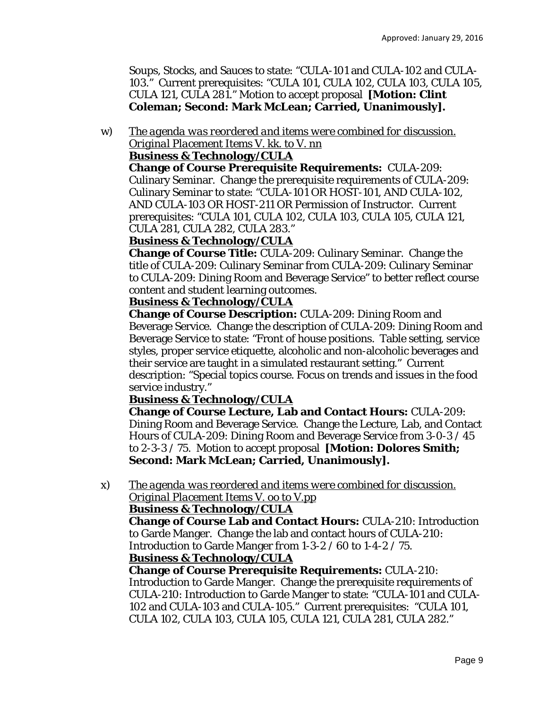Soups, Stocks, and Sauces to state: "CULA-101 and CULA-102 and CULA-103." Current prerequisites: "CULA 101, CULA 102, CULA 103, CULA 105, CULA 121, CULA 281." Motion to accept proposal **[Motion: Clint Coleman; Second: Mark McLean; Carried, Unanimously].** 

w) *The agenda was reordered and items were combined for discussion. Original Placement Items V. kk. to V. nn* 

#### **Business & Technology/CULA**

**Change of Course Prerequisite Requirements:** CULA-209: Culinary Seminar. Change the prerequisite requirements of CULA-209: Culinary Seminar to state: "CULA-101 OR HOST-101, AND CULA-102, AND CULA-103 OR HOST-211 OR Permission of Instructor. Current prerequisites: "CULA 101, CULA 102, CULA 103, CULA 105, CULA 121, CULA 281, CULA 282, CULA 283."

#### **Business & Technology/CULA**

**Change of Course Title:** CULA-209: Culinary Seminar. Change the title of CULA-209: Culinary Seminar *from* CULA-209: Culinary Seminar *to* CULA-209: Dining Room and Beverage Service" to better reflect course content and student learning outcomes.

#### **Business & Technology/CULA**

**Change of Course Description:** CULA-209: Dining Room and Beverage Service. Change the description of CULA-209: Dining Room and Beverage Service to state: "Front of house positions. Table setting, service styles, proper service etiquette, alcoholic and non-alcoholic beverages and their service are taught in a simulated restaurant setting." Current description: "Special topics course. Focus on trends and issues in the food service industry."

## **Business & Technology/CULA**

**Change of Course Lecture, Lab and Contact Hours:** CULA-209: Dining Room and Beverage Service. Change the Lecture, Lab, and Contact Hours of CULA-209: Dining Room and Beverage Service *from* 3-0-3 / 45 *to* 2-3-3 / 75. Motion to accept proposal **[Motion: Dolores Smith; Second: Mark McLean; Carried, Unanimously].** 

x) *The agenda was reordered and items were combined for discussion. Original Placement Items V. oo to V.pp* 

## **Business & Technology/CULA**

**Change of Course Lab and Contact Hours:** CULA-210: Introduction to Garde Manger. Change the lab and contact hours of CULA-210: Introduction to Garde Manger *from* 1-3-2 / 60 *to* 1-4-2 / 75.

#### **Business & Technology/CULA**

**Change of Course Prerequisite Requirements:** CULA-210: Introduction to Garde Manger. Change the prerequisite requirements of CULA-210: Introduction to Garde Manger to state: "CULA-101 and CULA-102 and CULA-103 and CULA-105." Current prerequisites: "CULA 101, CULA 102, CULA 103, CULA 105, CULA 121, CULA 281, CULA 282."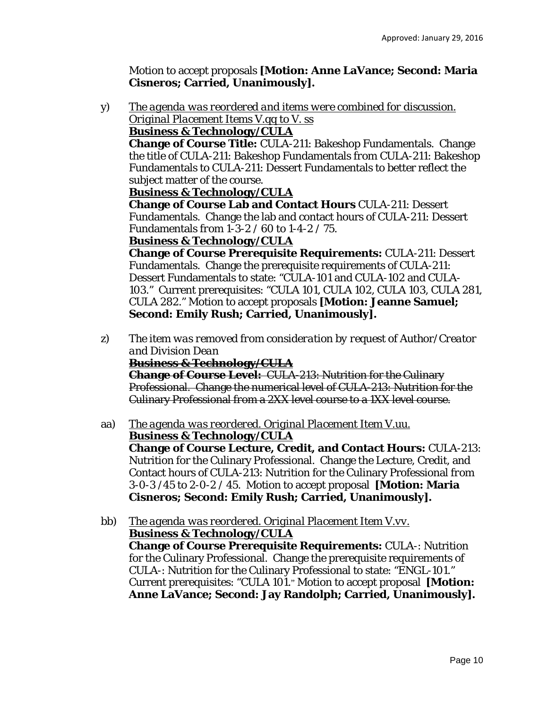Motion to accept proposals **[Motion: Anne LaVance; Second: Maria Cisneros; Carried, Unanimously].** 

y) *The agenda was reordered and items were combined for discussion. Original Placement Items V.qq to V. ss* 

#### **Business & Technology/CULA**

**Change of Course Title:** CULA-211: Bakeshop Fundamentals. Change the title of CULA-211: Bakeshop Fundamentals *from* CULA-211: Bakeshop Fundamentals *to* CULA-211: Dessert Fundamentals to better reflect the subject matter of the course.

#### **Business & Technology/CULA**

**Change of Course Lab and Contact Hours** CULA-211: Dessert Fundamentals. Change the lab and contact hours of CULA-211: Dessert Fundamentals *from* 1-3-2 / 60 *to* 1-4-2 / 75.

#### **Business & Technology/CULA**

**Change of Course Prerequisite Requirements:** CULA-211: Dessert Fundamentals. Change the prerequisite requirements of CULA-211: Dessert Fundamentals to state: "CULA-101 and CULA-102 and CULA-103." Current prerequisites: "CULA 101, CULA 102, CULA 103, CULA 281, CULA 282." Motion to accept proposals **[Motion: Jeanne Samuel; Second: Emily Rush; Carried, Unanimously].** 

z) *The item was removed from consideration by request of Author/Creator and Division Dean*

#### **Business & Technology/CULA**

**Change of Course Level:** CULA-213: Nutrition for the Culinary Professional. Change the numerical level of CULA-213: Nutrition for the Culinary Professional *from* a 2XX level course *to* a 1XX level course.

aa) *The agenda was reordered. Original Placement Item V.uu.* 

**Business & Technology/CULA Change of Course Lecture, Credit, and Contact Hours:** CULA-213: Nutrition for the Culinary Professional. Change the Lecture, Credit, and Contact hours of CULA-213: Nutrition for the Culinary Professional *from*  3-0-3 /45 *to* 2-0-2 / 45. Motion to accept proposal **[Motion: Maria Cisneros; Second: Emily Rush; Carried, Unanimously].** 

bb) *The agenda was reordered. Original Placement Item V.vv.*  **Business & Technology/CULA Change of Course Prerequisite Requirements:** CULA-: Nutrition for the Culinary Professional. Change the prerequisite requirements of CULA-: Nutrition for the Culinary Professional to state: "ENGL-101." Current prerequisites: "CULA 101." Motion to accept proposal **[Motion: Anne LaVance; Second: Jay Randolph; Carried, Unanimously].**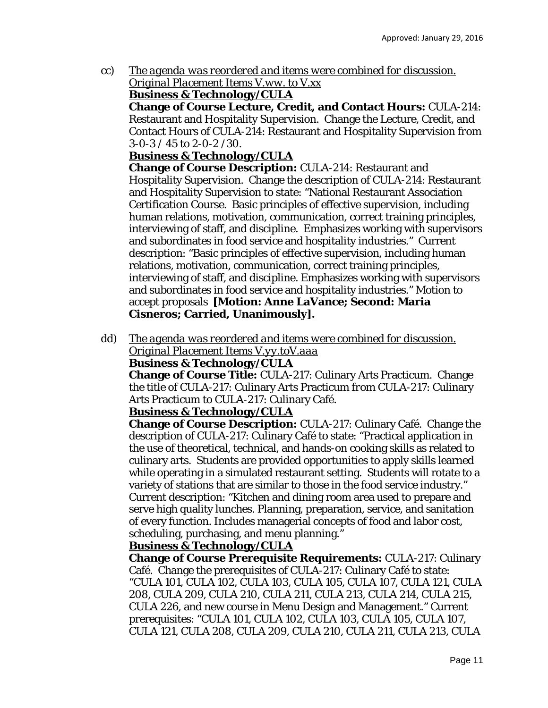cc) *The agenda was reordered and items were combined for discussion. Original Placement Items V.ww. to V.xx* 

## **Business & Technology/CULA**

**Change of Course Lecture, Credit, and Contact Hours:** CULA-214: Restaurant and Hospitality Supervision. Change the Lecture, Credit, and Contact Hours of CULA-214: Restaurant and Hospitality Supervision *from*  3-0-3 / 45 *to* 2-0-2 /30.

# **Business & Technology/CULA**

**Change of Course Description:** CULA-214: Restaurant and Hospitality Supervision. Change the description of CULA-214: Restaurant and Hospitality Supervision to state: "National Restaurant Association Certification Course. Basic principles of effective supervision, including human relations, motivation, communication, correct training principles, interviewing of staff, and discipline. Emphasizes working with supervisors and subordinates in food service and hospitality industries." Current description: "Basic principles of effective supervision, including human relations, motivation, communication, correct training principles, interviewing of staff, and discipline. Emphasizes working with supervisors and subordinates in food service and hospitality industries." Motion to accept proposals **[Motion: Anne LaVance; Second: Maria Cisneros; Carried, Unanimously].** 

dd) *The agenda was reordered and items were combined for discussion. Original Placement Items V.yy.toV.aaa*  **Business & Technology/CULA** 

**Change of Course Title:** CULA-217: Culinary Arts Practicum. Change the title of CULA-217: Culinary Arts Practicum *from* CULA-217: Culinary Arts Practicum *to* CULA-217: Culinary Café.

## **Business & Technology/CULA**

**Change of Course Description:** CULA-217: Culinary Café. Change the description of CULA-217: Culinary Café to state: "Practical application in the use of theoretical, technical, and hands-on cooking skills as related to culinary arts. Students are provided opportunities to apply skills learned while operating in a simulated restaurant setting. Students will rotate to a variety of stations that are similar to those in the food service industry." Current description: "Kitchen and dining room area used to prepare and serve high quality lunches. Planning, preparation, service, and sanitation of every function. Includes managerial concepts of food and labor cost, scheduling, purchasing, and menu planning."

## **Business & Technology/CULA**

**Change of Course Prerequisite Requirements:** CULA-217: Culinary Café. Change the prerequisites of CULA-217: Culinary Café to state: "CULA 101, CULA 102, CULA 103, CULA 105, CULA 107, CULA 121, CULA 208, CULA 209, CULA 210, CULA 211, CULA 213, CULA 214, CULA 215, CULA 226, and new course in Menu Design and Management." Current prerequisites: "CULA 101, CULA 102, CULA 103, CULA 105, CULA 107, CULA 121, CULA 208, CULA 209, CULA 210, CULA 211, CULA 213, CULA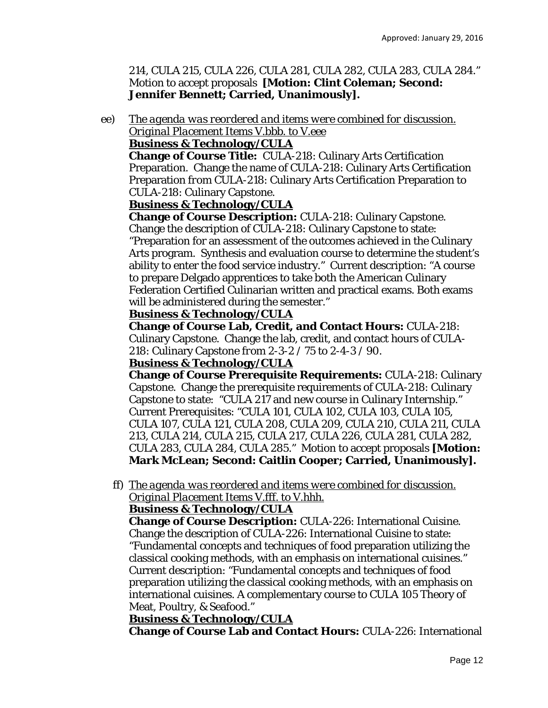214, CULA 215, CULA 226, CULA 281, CULA 282, CULA 283, CULA 284." Motion to accept proposals **[Motion: Clint Coleman; Second: Jennifer Bennett; Carried, Unanimously].** 

ee) *The agenda was reordered and items were combined for discussion. Original Placement Items V.bbb. to V.eee* 

#### **Business & Technology/CULA**

**Change of Course Title:** CULA-218: Culinary Arts Certification Preparation. Change the name of CULA-218: Culinary Arts Certification Preparation *from* CULA-218: Culinary Arts Certification Preparation *to*  CULA-218: Culinary Capstone.

## **Business & Technology/CULA**

**Change of Course Description:** CULA-218: Culinary Capstone. Change the description of CULA-218: Culinary Capstone to state: "Preparation for an assessment of the outcomes achieved in the Culinary Arts program. Synthesis and evaluation course to determine the student's ability to enter the food service industry." Current description: "A course to prepare Delgado apprentices to take both the American Culinary Federation Certified Culinarian written and practical exams. Both exams will be administered during the semester."

#### **Business & Technology/CULA**

**Change of Course Lab, Credit, and Contact Hours:** CULA-218: Culinary Capstone. Change the lab, credit, and contact hours of CULA-218: Culinary Capstone *from* 2-3-2 / 75 *to* 2-4-3 / 90.

#### **Business & Technology/CULA**

**Change of Course Prerequisite Requirements:** CULA-218: Culinary Capstone. Change the prerequisite requirements of CULA-218: Culinary Capstone to state: "CULA 217 and new course in Culinary Internship." Current Prerequisites: "CULA 101, CULA 102, CULA 103, CULA 105, CULA 107, CULA 121, CULA 208, CULA 209, CULA 210, CULA 211, CULA 213, CULA 214, CULA 215, CULA 217, CULA 226, CULA 281, CULA 282, CULA 283, CULA 284, CULA 285." Motion to accept proposals **[Motion: Mark McLean; Second: Caitlin Cooper; Carried, Unanimously].** 

ff) *The agenda was reordered and items were combined for discussion. Original Placement Items V.fff. to V.hhh.* 

# **Business & Technology/CULA**

**Change of Course Description:** CULA-226: International Cuisine. Change the description of CULA-226: International Cuisine to state: "Fundamental concepts and techniques of food preparation utilizing the classical cooking methods, with an emphasis on international cuisines." Current description: "Fundamental concepts and techniques of food preparation utilizing the classical cooking methods, with an emphasis on international cuisines. A complementary course to CULA 105 Theory of Meat, Poultry, & Seafood."

## **Business & Technology/CULA**

**Change of Course Lab and Contact Hours:** CULA-226: International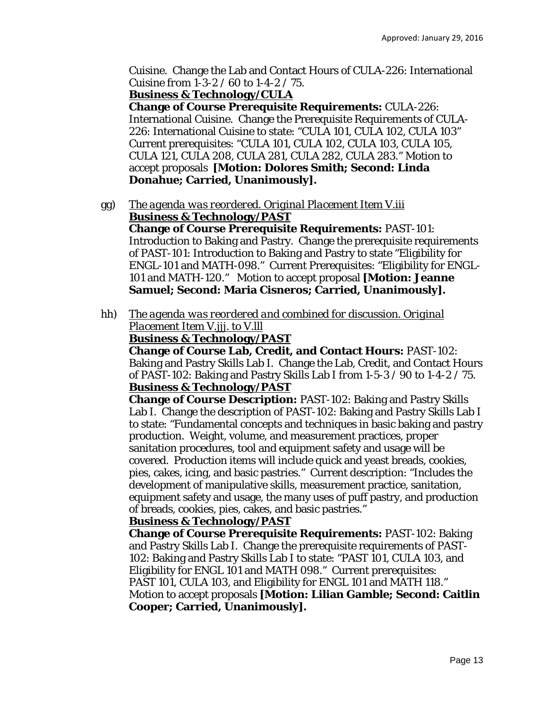Cuisine. Change the Lab and Contact Hours of CULA-226: International Cuisine *from* 1-3-2 / 60 *to* 1-4-2 / 75.

**Business & Technology/CULA** 

**Change of Course Prerequisite Requirements:** CULA-226: International Cuisine. Change the Prerequisite Requirements of CULA-226: International Cuisine to state: "CULA 101, CULA 102, CULA 103" Current prerequisites: "CULA 101, CULA 102, CULA 103, CULA 105, CULA 121, CULA 208, CULA 281, CULA 282, CULA 283." Motion to accept proposals **[Motion: Dolores Smith; Second: Linda Donahue; Carried, Unanimously].** 

gg) *The agenda was reordered. Original Placement Item V.iii*  **Business & Technology/PAST** 

**Change of Course Prerequisite Requirements:** PAST-101: Introduction to Baking and Pastry. Change the prerequisite requirements of PAST-101: Introduction to Baking and Pastry to state "Eligibility for ENGL-101 and MATH-098." Current Prerequisites: "Eligibility for ENGL-101 and MATH-120." Motion to accept proposal **[Motion: Jeanne Samuel; Second: Maria Cisneros; Carried, Unanimously].** 

hh) *The agenda was reordered and combined for discussion. Original Placement Item V.jjj. to V.lll* 

**Business & Technology/PAST** 

**Change of Course Lab, Credit, and Contact Hours:** PAST-102: Baking and Pastry Skills Lab I. Change the Lab, Credit, and Contact Hours of PAST-102: Baking and Pastry Skills Lab I *from* 1-5-3 / 90 *to* 1-4-2 / 75. **Business & Technology/PAST** 

**Change of Course Description:** PAST-102: Baking and Pastry Skills Lab I. Change the description of PAST-102: Baking and Pastry Skills Lab I to state: "Fundamental concepts and techniques in basic baking and pastry production. Weight, volume, and measurement practices, proper sanitation procedures, tool and equipment safety and usage will be covered. Production items will include quick and yeast breads, cookies, pies, cakes, icing, and basic pastries." Current description: "Includes the development of manipulative skills, measurement practice, sanitation, equipment safety and usage, the many uses of puff pastry, and production of breads, cookies, pies, cakes, and basic pastries."

## **Business & Technology/PAST**

**Change of Course Prerequisite Requirements:** PAST-102: Baking and Pastry Skills Lab I. Change the prerequisite requirements of PAST-102: Baking and Pastry Skills Lab I to state: "PAST 101, CULA 103, and Eligibility for ENGL 101 and MATH 098." Current prerequisites: PAST 101, CULA 103, and Eligibility for ENGL 101 and MATH 118." Motion to accept proposals **[Motion: Lilian Gamble; Second: Caitlin Cooper; Carried, Unanimously].**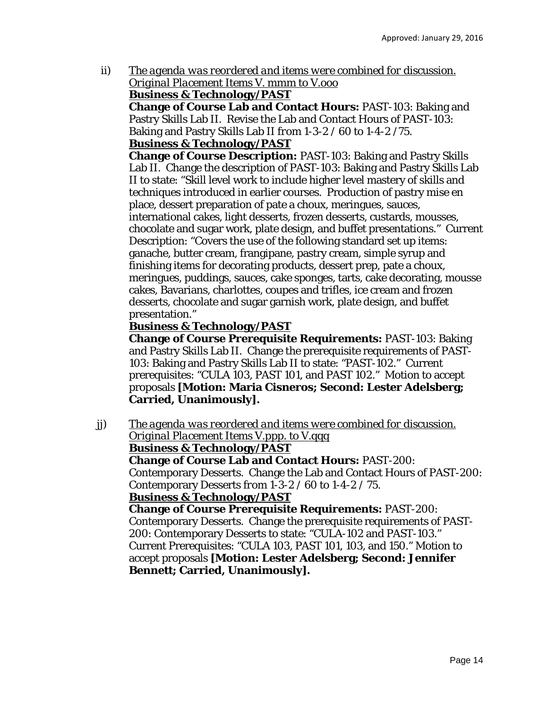ii) *The agenda was reordered and items were combined for discussion. Original Placement Items V. mmm to V.ooo* 

#### **Business & Technology/PAST**

**Change of Course Lab and Contact Hours:** PAST-103: Baking and Pastry Skills Lab II. Revise the Lab and Contact Hours of PAST-103: Baking and Pastry Skills Lab II *from* 1-3-2 / 60 *to* 1-4-2 /75. **Business & Technology/PAST** 

**Change of Course Description:** PAST-103: Baking and Pastry Skills Lab II. Change the description of PAST-103: Baking and Pastry Skills Lab II to state: "Skill level work to include higher level mastery of skills and techniques introduced in earlier courses. Production of pastry mise en place, dessert preparation of pate a choux, meringues, sauces, international cakes, light desserts, frozen desserts, custards, mousses, chocolate and sugar work, plate design, and buffet presentations." Current Description: "Covers the use of the following standard set up items: ganache, butter cream, frangipane, pastry cream, simple syrup and finishing items for decorating products, dessert prep, pate a choux, meringues, puddings, sauces, cake sponges, tarts, cake decorating, mousse cakes, Bavarians, charlottes, coupes and trifles, ice cream and frozen desserts, chocolate and sugar garnish work, plate design, and buffet presentation."

# **Business & Technology/PAST**

**Change of Course Prerequisite Requirements:** PAST-103: Baking and Pastry Skills Lab II. Change the prerequisite requirements of PAST-103: Baking and Pastry Skills Lab II to state: "PAST-102." Current prerequisites: "CULA 103, PAST 101, and PAST 102." Motion to accept proposals **[Motion: Maria Cisneros; Second: Lester Adelsberg; Carried, Unanimously].** 

jj) *The agenda was reordered and items were combined for discussion. Original Placement Items V.ppp. to V.qqq*  **Business & Technology/PAST Change of Course Lab and Contact Hours:** PAST-200: Contemporary Desserts. Change the Lab and Contact Hours of PAST-200: Contemporary Desserts *from* 1-3-2 / 60 *to* 1-4-2 / 75. **Business & Technology/PAST Change of Course Prerequisite Requirements:** PAST-200: Contemporary Desserts. Change the prerequisite requirements of PAST-200: Contemporary Desserts to state: "CULA-102 and PAST-103." Current Prerequisites: "CULA 103, PAST 101, 103, and 150." Motion to accept proposals **[Motion: Lester Adelsberg; Second: Jennifer Bennett; Carried, Unanimously].**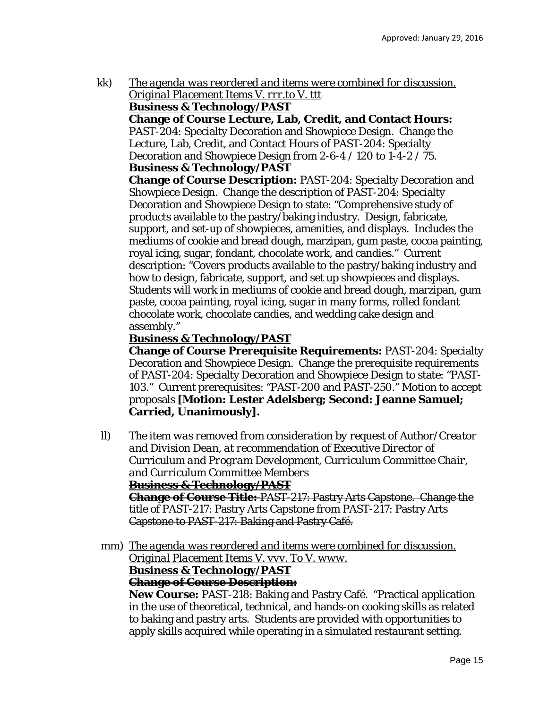kk) *The agenda was reordered and items were combined for discussion. Original Placement Items V. rrr.to V. ttt*  **Business & Technology/PAST** 

**Change of Course Lecture, Lab, Credit, and Contact Hours:**  PAST-204: Specialty Decoration and Showpiece Design. Change the Lecture, Lab, Credit, and Contact Hours of PAST-204: Specialty Decoration and Showpiece Design *from* 2-6-4 / 120 *to* 1-4-2 / 75. **Business & Technology/PAST** 

**Change of Course Description:** PAST-204: Specialty Decoration and Showpiece Design. Change the description of PAST-204: Specialty Decoration and Showpiece Design to state: "Comprehensive study of products available to the pastry/baking industry. Design, fabricate, support, and set-up of showpieces, amenities, and displays. Includes the mediums of cookie and bread dough, marzipan, gum paste, cocoa painting, royal icing, sugar, fondant, chocolate work, and candies." Current description: "Covers products available to the pastry/baking industry and how to design, fabricate, support, and set up showpieces and displays. Students will work in mediums of cookie and bread dough, marzipan, gum paste, cocoa painting, royal icing, sugar in many forms, rolled fondant chocolate work, chocolate candies, and wedding cake design and assembly."

# **Business & Technology/PAST**

**Change of Course Prerequisite Requirements:** PAST-204: Specialty Decoration and Showpiece Design. Change the prerequisite requirements of PAST-204: Specialty Decoration and Showpiece Design to state: "PAST-103." Current prerequisites: "PAST-200 and PAST-250." Motion to accept proposals **[Motion: Lester Adelsberg; Second: Jeanne Samuel; Carried, Unanimously].** 

ll) *The item was removed from consideration by request of Author/Creator and Division Dean, at recommendation of Executive Director of Curriculum and Program Development, Curriculum Committee Chair, and Curriculum Committee Members* **Business & Technology/PAST Change of Course Title:** PAST-217: Pastry Arts Capstone. Change the

title of PAST-217: Pastry Arts Capstone *from* PAST-217: Pastry Arts Capstone *to* PAST-217: Baking and Pastry Café.

mm) *The agenda was reordered and items were combined for discussion. Original Placement Items V. vvv. To V. www.*  **Business & Technology/PAST** 

**Change of Course Description:** 

**New Course:** PAST-218: Baking and Pastry Café. "Practical application in the use of theoretical, technical, and hands-on cooking skills as related to baking and pastry arts. Students are provided with opportunities to apply skills acquired while operating in a simulated restaurant setting.